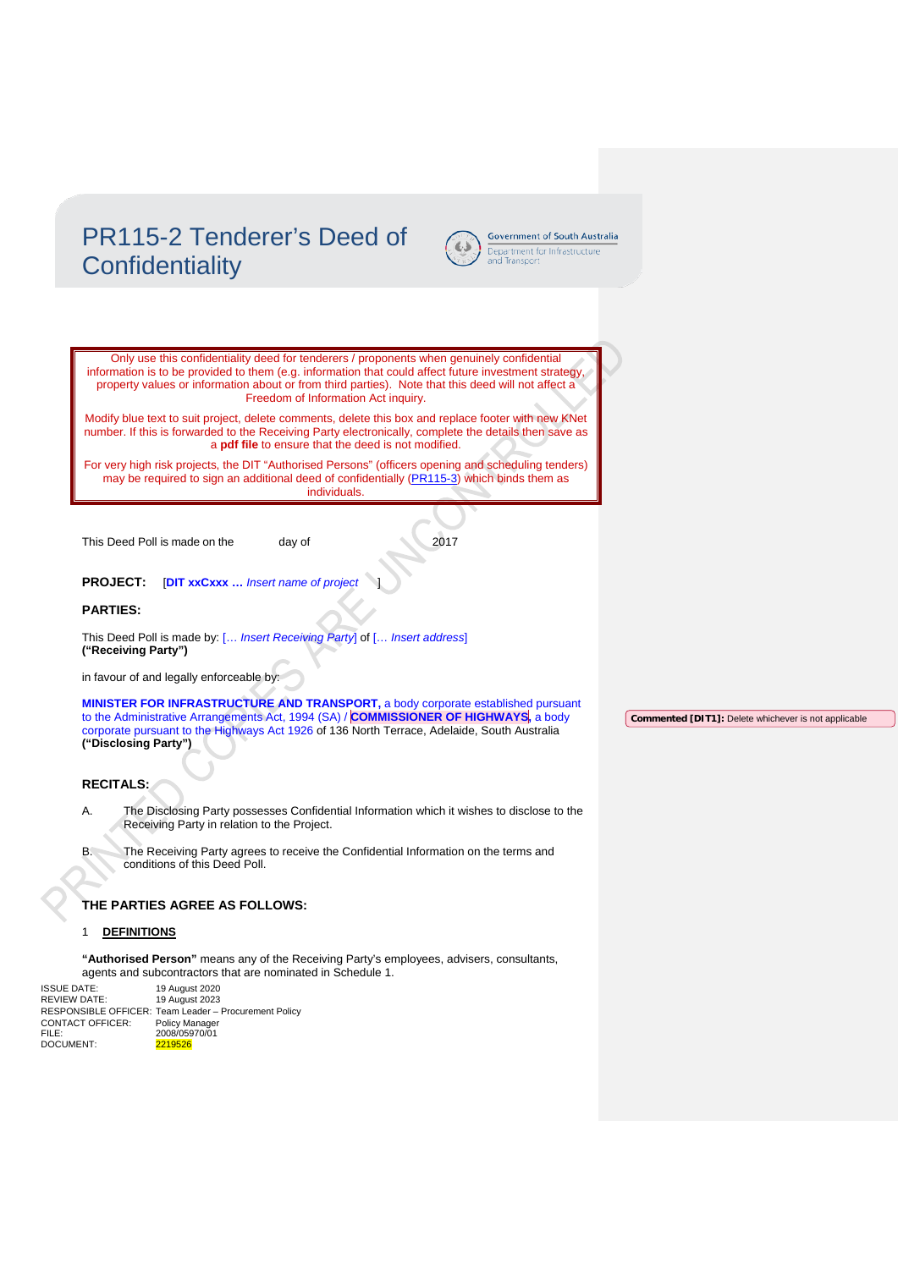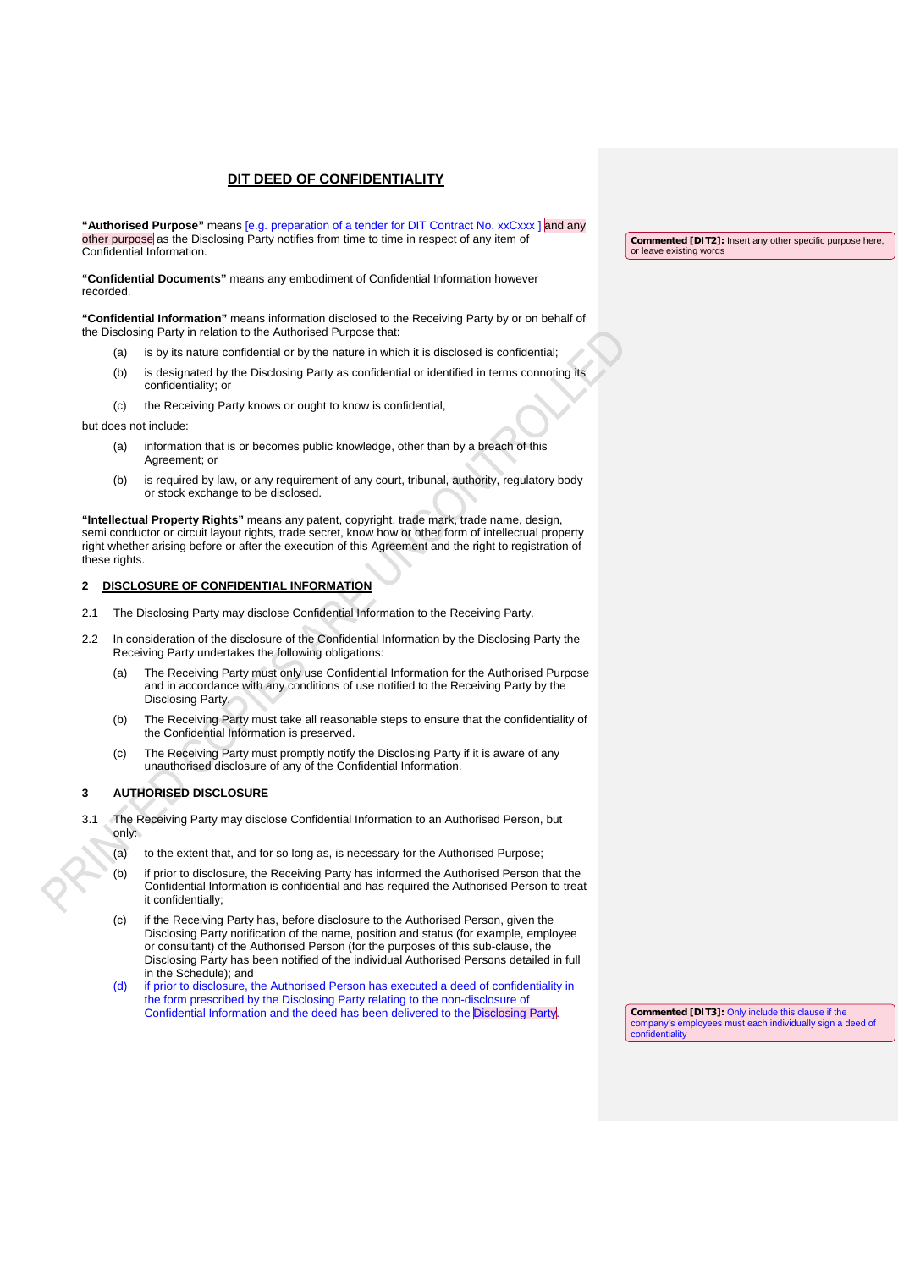**"Authorised Purpose"** means [e.g. preparation of a tender for DIT Contract No. xxCxxx ] and any other purpose as the Disclosing Party notifies from time to time in respect of any item of Confidential Information.

**"Confidential Documents"** means any embodiment of Confidential Information however recorded.

**"Confidential Information"** means information disclosed to the Receiving Party by or on behalf of the Disclosing Party in relation to the Authorised Purpose that:

- (a) is by its nature confidential or by the nature in which it is disclosed is confidential;
- (b) is designated by the Disclosing Party as confidential or identified in terms connoting its confidentiality; or
- (c) the Receiving Party knows or ought to know is confidential,

but does not include:

- (a) information that is or becomes public knowledge, other than by a breach of this Agreement; or
- (b) is required by law, or any requirement of any court, tribunal, authority, regulatory body or stock exchange to be disclosed.

**"Intellectual Property Rights"** means any patent, copyright, trade mark, trade name, design, semi conductor or circuit layout rights, trade secret, know how or other form of intellectual property right whether arising before or after the execution of this Agreement and the right to registration of these rights.

#### **2 DISCLOSURE OF CONFIDENTIAL INFORMATION**

- 2.1 The Disclosing Party may disclose Confidential Information to the Receiving Party.
- 2.2 In consideration of the disclosure of the Confidential Information by the Disclosing Party the Receiving Party undertakes the following obligations:
	- (a) The Receiving Party must only use Confidential Information for the Authorised Purpose and in accordance with any conditions of use notified to the Receiving Party by the Disclosing Party.
	- (b) The Receiving Party must take all reasonable steps to ensure that the confidentiality of the Confidential Information is preserved.
	- (c) The Receiving Party must promptly notify the Disclosing Party if it is aware of any unauthorised disclosure of any of the Confidential Information.

#### **3 AUTHORISED DISCLOSURE**

- The Receiving Party may disclose Confidential Information to an Authorised Person, but only:
	- (a) to the extent that, and for so long as, is necessary for the Authorised Purpose;
	- (b) if prior to disclosure, the Receiving Party has informed the Authorised Person that the Confidential Information is confidential and has required the Authorised Person to treat it confidentially;
	- (c) if the Receiving Party has, before disclosure to the Authorised Person, given the Disclosing Party notification of the name, position and status (for example, employee or consultant) of the Authorised Person (for the purposes of this sub-clause, the Disclosing Party has been notified of the individual Authorised Persons detailed in full in the Schedule); and
	- (d) if prior to disclosure, the Authorised Person has executed a deed of confidentiality in the form prescribed by the Disclosing Party relating to the non-disclosure of Confidential Information and the deed has been delivered to the Disclosing Party

**Commented [DIT2]:** Insert any other specific purpose here, or leave existing words

**Commented [DIT3]:** Only include this clause if the company's employees must each individually sign a deed of confidentiality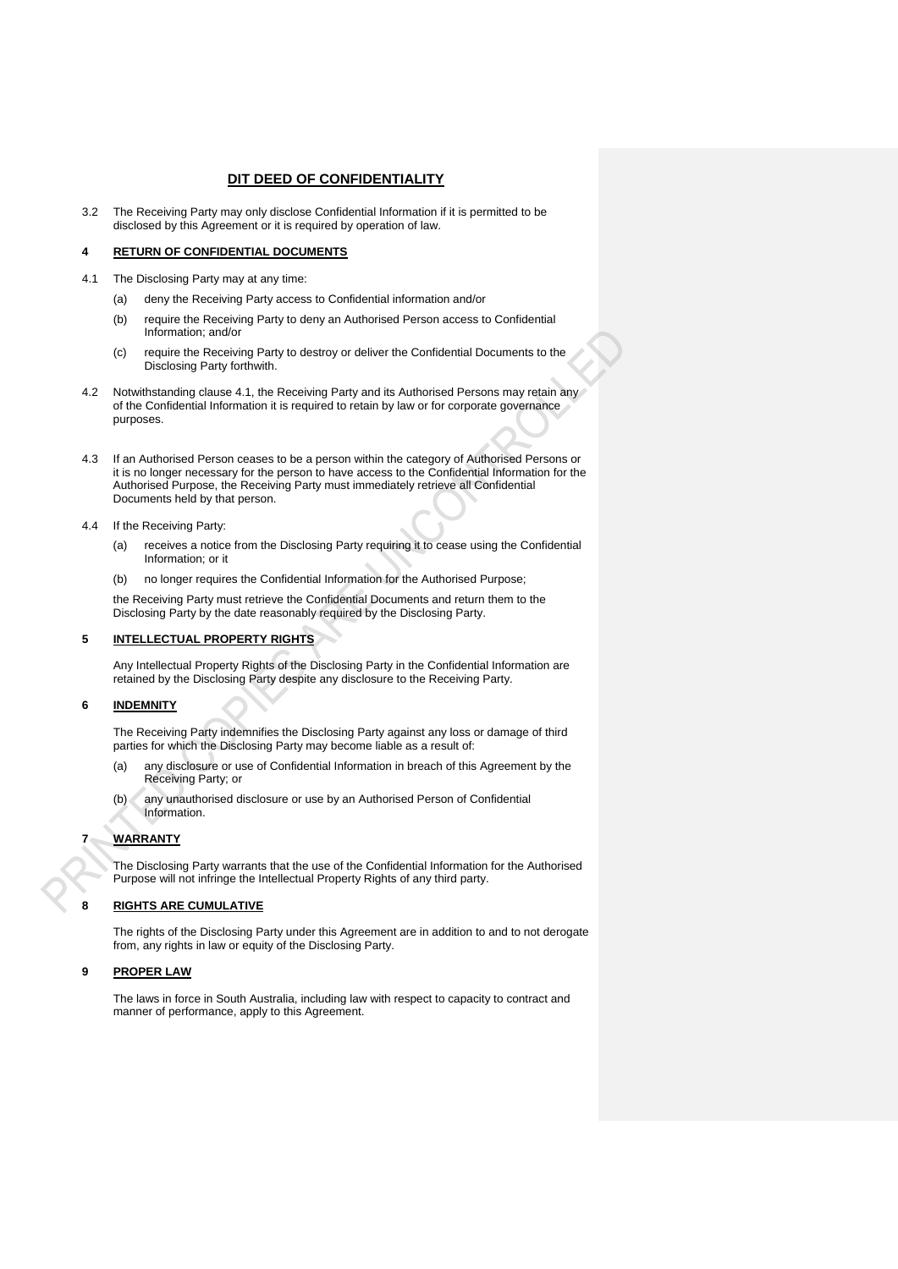3.2 The Receiving Party may only disclose Confidential Information if it is permitted to be disclosed by this Agreement or it is required by operation of law.

#### **4 RETURN OF CONFIDENTIAL DOCUMENTS**

- 4.1 The Disclosing Party may at any time:
	- (a) deny the Receiving Party access to Confidential information and/or
	- (b) require the Receiving Party to deny an Authorised Person access to Confidential Information; and/or
	- (c) require the Receiving Party to destroy or deliver the Confidential Documents to the Disclosing Party forthwith.
- 4.2 Notwithstanding clause 4.1, the Receiving Party and its Authorised Persons may retain any of the Confidential Information it is required to retain by law or for corporate governance purposes.
- 4.3 If an Authorised Person ceases to be a person within the category of Authorised Persons or it is no longer necessary for the person to have access to the Confidential Information for the Authorised Purpose, the Receiving Party must immediately retrieve all Confidential Documents held by that person.
- 4.4 If the Receiving Party:
	- (a) receives a notice from the Disclosing Party requiring it to cease using the Confidential Information; or it
	- (b) no longer requires the Confidential Information for the Authorised Purpose;

the Receiving Party must retrieve the Confidential Documents and return them to the Disclosing Party by the date reasonably required by the Disclosing Party.

#### **5 INTELLECTUAL PROPERTY RIGHTS**

Any Intellectual Property Rights of the Disclosing Party in the Confidential Information are retained by the Disclosing Party despite any disclosure to the Receiving Party.

#### **6 INDEMNITY**

The Receiving Party indemnifies the Disclosing Party against any loss or damage of third parties for which the Disclosing Party may become liable as a result of:

- (a) any disclosure or use of Confidential Information in breach of this Agreement by the Receiving Party; or
- (b) any unauthorised disclosure or use by an Authorised Person of Confidential Information.

### **7 WARRANTY**

The Disclosing Party warrants that the use of the Confidential Information for the Authorised Purpose will not infringe the Intellectual Property Rights of any third party.

### **8 RIGHTS ARE CUMULATIVE**

The rights of the Disclosing Party under this Agreement are in addition to and to not derogate from, any rights in law or equity of the Disclosing Party.

#### **9 PROPER LAW**

The laws in force in South Australia, including law with respect to capacity to contract and manner of performance, apply to this Agreement.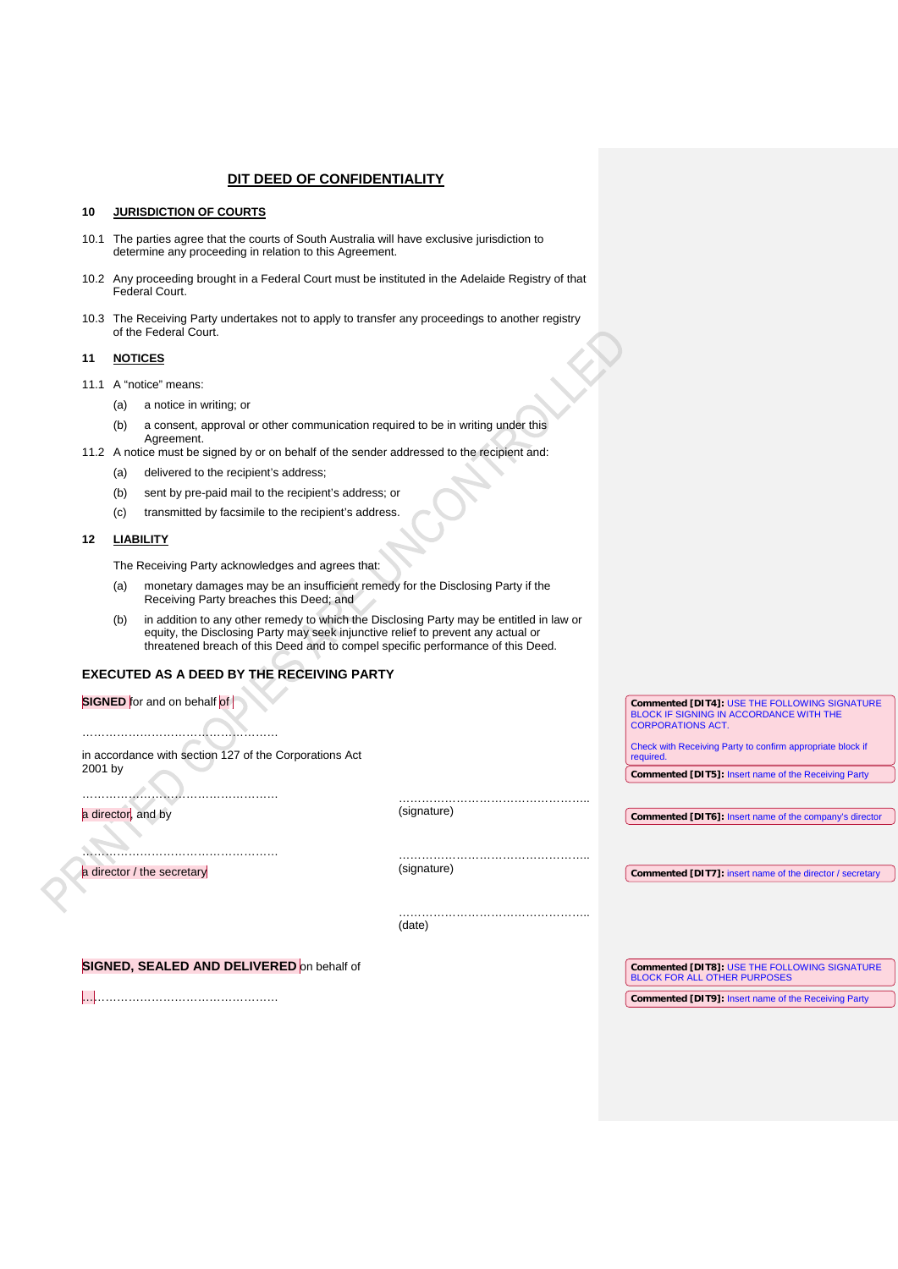#### **10 JURISDICTION OF COURTS**

- 10.1 The parties agree that the courts of South Australia will have exclusive jurisdiction to determine any proceeding in relation to this Agreement.
- 10.2 Any proceeding brought in a Federal Court must be instituted in the Adelaide Registry of that Federal Court.
- 10.3 The Receiving Party undertakes not to apply to transfer any proceedings to another registry of the Federal Court.

#### **11 NOTICES**

- 11.1 A "notice" means:
	- (a) a notice in writing; or
	- (b) a consent, approval or other communication required to be in writing under this Agreement.
- 11.2 A notice must be signed by or on behalf of the sender addressed to the recipient and:
	- (a) delivered to the recipient's address;
	- (b) sent by pre-paid mail to the recipient's address; or
	- (c) transmitted by facsimile to the recipient's address.

#### **12 LIABILITY**

The Receiving Party acknowledges and agrees that:

- (a) monetary damages may be an insufficient remedy for the Disclosing Party if the Receiving Party breaches this Deed; and
- (b) in addition to any other remedy to which the Disclosing Party may be entitled in law or equity, the Disclosing Party may seek injunctive relief to prevent any actual or threatened breach of this Deed and to compel specific performance of this Deed.

### **EXECUTED AS A DEED BY THE RECEIVING PARTY**

| <b>SIGNED</b> for and on behalf of                     |             | Commented [DIT4]: USE THE FOLLOWING SIGNATURE                              |
|--------------------------------------------------------|-------------|----------------------------------------------------------------------------|
|                                                        |             | <b>BLOCK IF SIGNING IN ACCORDANCE WITH THE</b><br><b>CORPORATIONS ACT.</b> |
|                                                        |             |                                                                            |
| in accordance with section 127 of the Corporations Act |             | Check with Receiving Party to confirm appropriate block if<br>required.    |
| 2001 by                                                |             | <b>Commented [DIT5]: Insert name of the Receiving Party</b>                |
|                                                        |             |                                                                            |
| a director, and by                                     | (signature) |                                                                            |
|                                                        |             | Commented [DIT6]: Insert name of the company's director                    |
|                                                        |             |                                                                            |
|                                                        | (signature) |                                                                            |
| a director / the secretary                             |             | Commented [DIT7]: insert name of the director / secretary                  |
|                                                        |             |                                                                            |
|                                                        |             |                                                                            |
|                                                        | (date)      |                                                                            |
|                                                        |             |                                                                            |
| SIGNED, SEALED AND DELIVERED on behalf of              |             | Commented [DIT8]: USE THE FOLLOWING SIGNATURE                              |
|                                                        |             | <b>BLOCK FOR ALL OTHER PURPOSES</b>                                        |
|                                                        |             | <b>Commented [DIT9]: Insert name of the Receiving Party</b>                |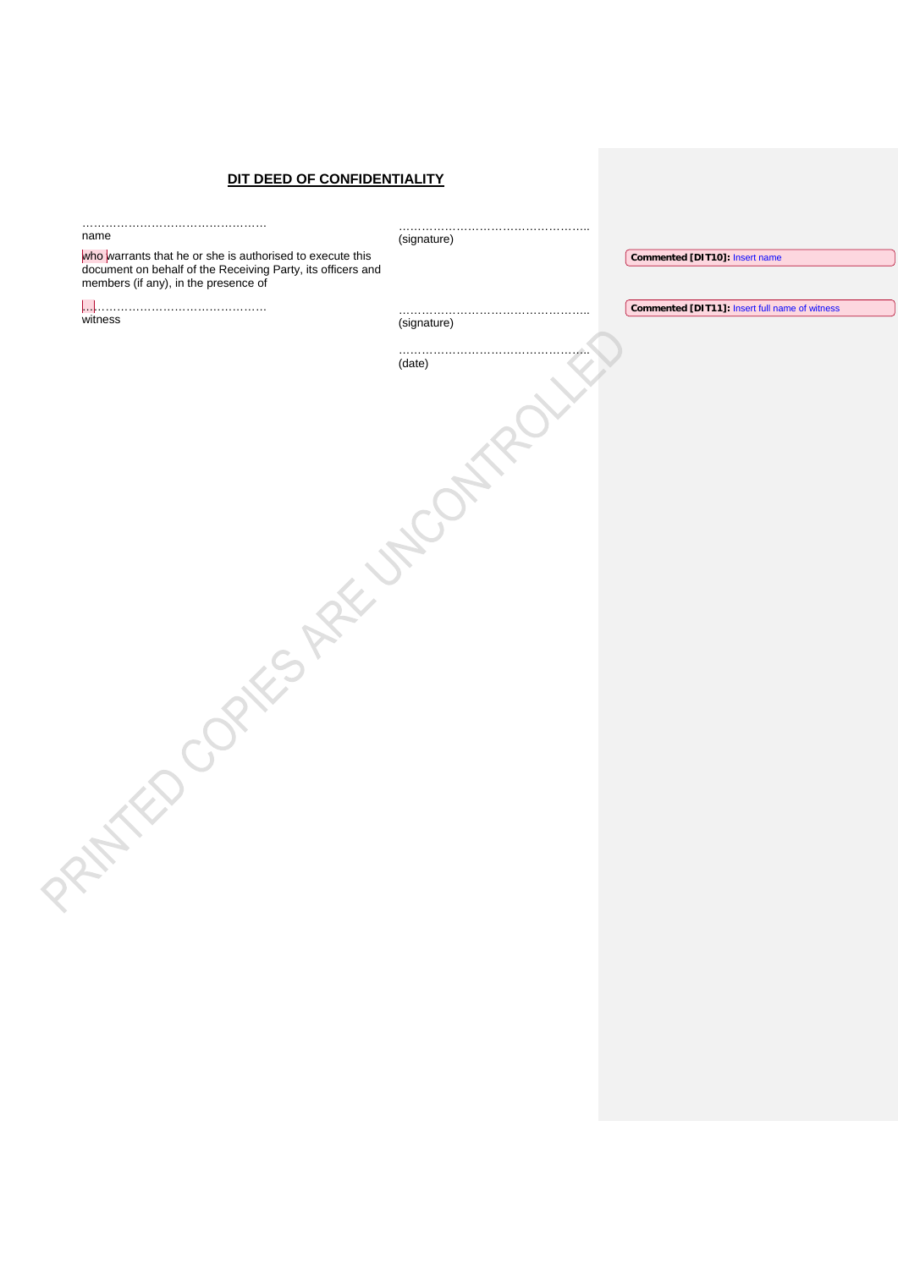| name                                                                                                                     | (signature) |                                                |
|--------------------------------------------------------------------------------------------------------------------------|-------------|------------------------------------------------|
| who warrants that he or she is authorised to execute this<br>document on behalf of the Receiving Party, its officers and |             | Commented [DIT10]: Insert name                 |
| members (if any), in the presence of                                                                                     |             |                                                |
|                                                                                                                          |             | Commented [DIT11]: Insert full name of witness |
| witness                                                                                                                  | (signature) |                                                |
|                                                                                                                          | .           |                                                |
|                                                                                                                          | (date)      |                                                |
|                                                                                                                          |             |                                                |
|                                                                                                                          |             |                                                |
|                                                                                                                          |             |                                                |
|                                                                                                                          |             |                                                |
|                                                                                                                          |             |                                                |
|                                                                                                                          |             |                                                |
|                                                                                                                          |             |                                                |
|                                                                                                                          |             |                                                |
|                                                                                                                          |             |                                                |
|                                                                                                                          |             |                                                |
| Jaks Ask Jacon                                                                                                           |             |                                                |
|                                                                                                                          |             |                                                |
|                                                                                                                          |             |                                                |
|                                                                                                                          |             |                                                |
|                                                                                                                          |             |                                                |
|                                                                                                                          |             |                                                |
|                                                                                                                          |             |                                                |
|                                                                                                                          |             |                                                |
|                                                                                                                          |             |                                                |
|                                                                                                                          |             |                                                |
|                                                                                                                          |             |                                                |
|                                                                                                                          |             |                                                |
|                                                                                                                          |             |                                                |
|                                                                                                                          |             |                                                |
|                                                                                                                          |             |                                                |
|                                                                                                                          |             |                                                |
|                                                                                                                          |             |                                                |
|                                                                                                                          |             |                                                |
|                                                                                                                          |             |                                                |
|                                                                                                                          |             |                                                |
|                                                                                                                          |             |                                                |